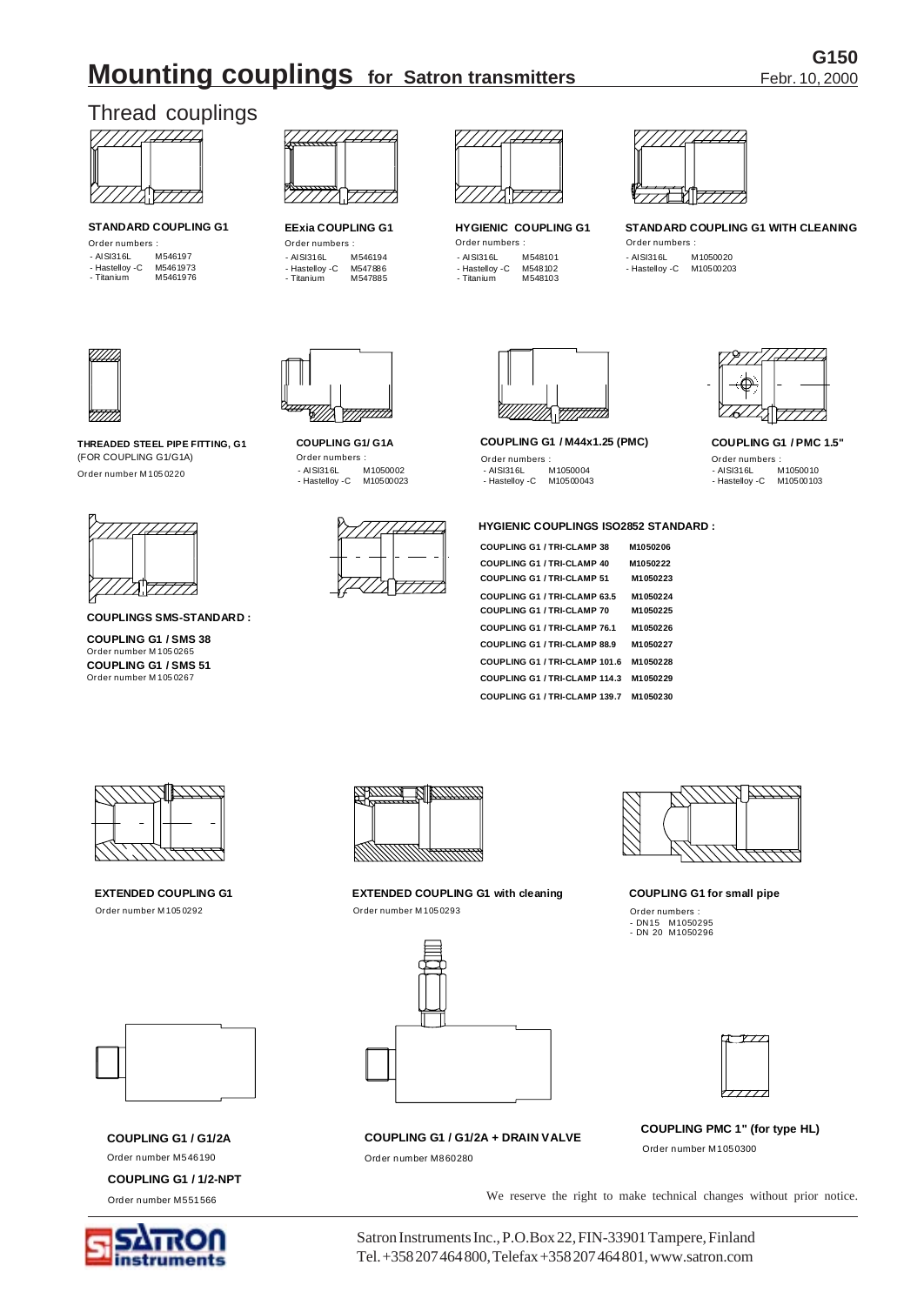# G150 **Mounting couplings** for Satron transmitters Febr. 10, 2000

# Thread couplings



Order numbers : Order numbers : Order numbers :  $A1 \nTheta 1216$  M546197 STANDARD COUPLING G1 **EExia COUPLING G1** HYGIENIC COUPLING G1

| $101 - 101$ |
|-------------|
| M5461973    |
| M5461976    |
|             |



- AISI316L M546194 - Hastelloy -C M547886 - Titanium M547885



- AISI316L M548101<br>- Hastelloy -C M548102<br>- Titanium M548103 - Hastelloy -C M548102 - Titanium M548103



**STANDARD COUPLING G1 WITH CLEANING**

Order numbers : - AISI316L M1050020 - Hastelloy -C M10500203



**COUPLING G1/ G1A COUPLING G1 / M44x1.25 (PMC) COUPLING G1 / PMC 1.5"**

#### **HYGIENIC COUPLINGS ISO2852 STANDARD :**

| <b>COUPLING G1 / TRI-CLAMP 38</b>   | M1050206 |
|-------------------------------------|----------|
| <b>COUPLING G1 / TRI-CLAMP 40</b>   | M1050222 |
| <b>COUPLING G1 / TRI-CLAMP 51</b>   | M1050223 |
| <b>COUPLING G1 / TRI-CLAMP 63.5</b> | M1050224 |
| <b>COUPLING G1 / TRI-CLAMP 70</b>   | M1050225 |
| COUPLING G1 / TRI-CLAMP 76.1        | M1050226 |
| <b>COUPLING G1 / TRI-CLAMP 88.9</b> | M1050227 |
| COUPLING G1 / TRI-CLAMP 101.6       | M1050228 |
| COUPLING G1 / TRI-CLAMP 114.3       | M1050229 |
| COUPLING G1 / TRI-CLAMP 139.7       | M1050230 |



- AISI316L M1050010 - Hastelloy -C M10500103



WAHA

(FOR COUPLING G1/G1A) **THREADED STEEL PIPE FITTING, G1** Order number M 105 0220



**COUPLINGS SMS-STANDARD :**

 **EXTENDED COUPLING G1**  Order number M 105 0292

Order number M 105 0267 Order number M 105 0265 **COUPLING G1 / SMS 51 COUPLING G1 / SMS 38**



 **EXTENDED COUPLING G1 with cleaning**  Order number M 105 0293



Order number M860280



 **COUPLING G1 for small pipe** 

Order numbers : - DN15 M1050295 - DN 20 M1050296



**COUPLING G1 / G1/2A + DRAIN VALVE COUPLING PMC 1" (for type HL)** 

Order number M1050300

**COUPLING G1 / 1/2-NPT**

Order number M551566

Order number M546190

**COUPLING G1 / G1/2A** 



We reserve the right to make technical changes without prior notice.

Satron Instruments Inc., P.O.Box 22, FIN-33901 Tampere, Finland Tel. +358 207 464 800, Telefax +358 207 464 801, www.satron.com

- AISI316L M1050002 - Hastelloy -C M10500023





Order numbers : Order numbers : Order numbers : - AISI316L M1050004 - Hastelloy -C M10500043